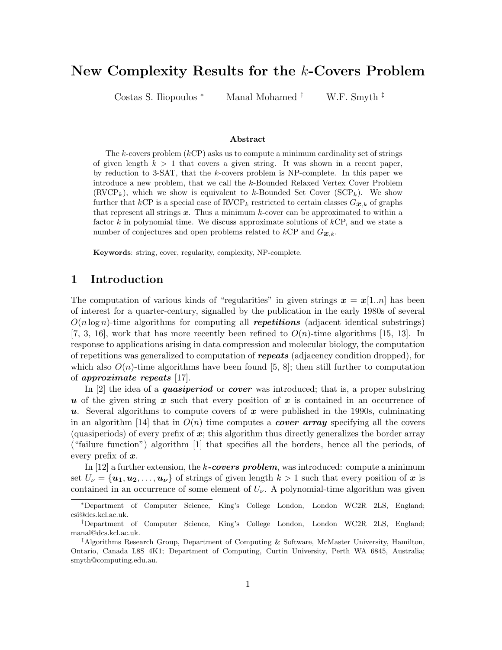# New Complexity Results for the k-Covers Problem

Costas S. Iliopoulos <sup>∗</sup> Manal Mohamed † W.F. Smyth ‡

#### Abstract

The k-covers problem  $(kCP)$  asks us to compute a minimum cardinality set of strings of given length  $k > 1$  that covers a given string. It was shown in a recent paper, by reduction to 3-SAT, that the k-covers problem is NP-complete. In this paper we introduce a new problem, that we call the k-Bounded Relaxed Vertex Cover Problem  $(RVCP<sub>k</sub>)$ , which we show is equivalent to k-Bounded Set Cover  $(SCP<sub>k</sub>)$ . We show further that kCP is a special case of RVCP<sub>k</sub> restricted to certain classes  $G_{\mathbf{x},k}$  of graphs that represent all strings  $x$ . Thus a minimum k-cover can be approximated to within a factor k in polynomial time. We discuss approximate solutions of  $k$ CP, and we state a number of conjectures and open problems related to kCP and  $G_{\mathcal{X},k}$ .

Keywords: string, cover, regularity, complexity, NP-complete.

#### 1 Introduction

The computation of various kinds of "regularities" in given strings  $x = x[1..n]$  has been of interest for a quarter-century, signalled by the publication in the early 1980s of several  $O(n \log n)$ -time algorithms for computing all **repetitions** (adjacent identical substrings) [7, 3, 16], work that has more recently been refined to  $O(n)$ -time algorithms [15, 13]. In response to applications arising in data compression and molecular biology, the computation of repetitions was generalized to computation of repeats (adjacency condition dropped), for which also  $O(n)$ -time algorithms have been found [5, 8]; then still further to computation of approximate repeats [17].

In [2] the idea of a *quasiperiod* or *cover* was introduced; that is, a proper substring u of the given string x such that every position of x is contained in an occurrence of u. Several algorithms to compute covers of  $x$  were published in the 1990s, culminating in an algorithm [14] that in  $O(n)$  time computes a **cover array** specifying all the covers (quasiperiods) of every prefix of  $x$ ; this algorithm thus directly generalizes the border array ("failure function") algorithm [1] that specifies all the borders, hence all the periods, of every prefix of  $x$ .

In [12] a further extension, the k-covers problem, was introduced: compute a minimum set  $U_{\nu} = {\bf{u_1, u_2,..., u_{\nu}}}$  of strings of given length  $k > 1$  such that every position of x is contained in an occurrence of some element of  $U_{\nu}$ . A polynomial-time algorithm was given

<sup>∗</sup>Department of Computer Science, King's College London, London WC2R 2LS, England; csi@dcs.kcl.ac.uk.

<sup>†</sup>Department of Computer Science, King's College London, London WC2R 2LS, England; manal@dcs.kcl.ac.uk.

<sup>‡</sup>Algorithms Research Group, Department of Computing & Software, McMaster University, Hamilton, Ontario, Canada L8S 4K1; Department of Computing, Curtin University, Perth WA 6845, Australia; smyth@computing.edu.au.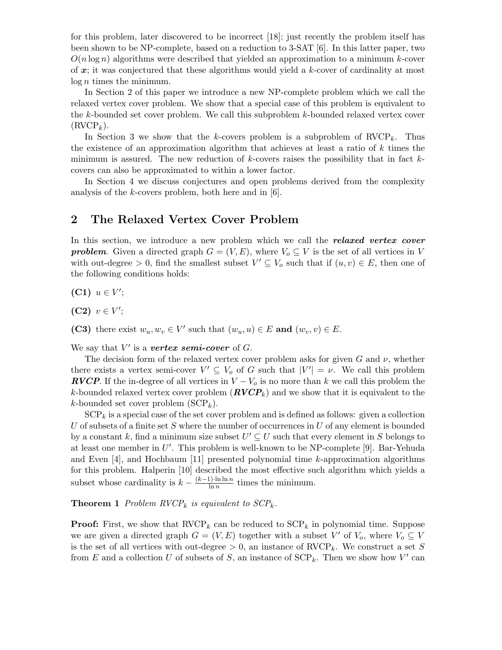for this problem, later discovered to be incorrect [18]; just recently the problem itself has been shown to be NP-complete, based on a reduction to 3-SAT [6]. In this latter paper, two  $O(n \log n)$  algorithms were described that yielded an approximation to a minimum k-cover of  $x$ ; it was conjectured that these algorithms would yield a  $k$ -cover of cardinality at most  $log n$  times the minimum.

In Section 2 of this paper we introduce a new NP-complete problem which we call the relaxed vertex cover problem. We show that a special case of this problem is equivalent to the k-bounded set cover problem. We call this subproblem k-bounded relaxed vertex cover  $(RVCP<sub>k</sub>)$ .

In Section 3 we show that the k-covers problem is a subproblem of  $\text{RVCP}_k$ . Thus the existence of an approximation algorithm that achieves at least a ratio of k times the minimum is assured. The new reduction of  $k$ -covers raises the possibility that in fact  $k$ covers can also be approximated to within a lower factor.

In Section 4 we discuss conjectures and open problems derived from the complexity analysis of the k-covers problem, both here and in [6].

### 2 The Relaxed Vertex Cover Problem

In this section, we introduce a new problem which we call the **relaxed vertex cover problem.** Given a directed graph  $G = (V, E)$ , where  $V_o \subseteq V$  is the set of all vertices in V with out-degree > 0, find the smallest subset  $V' \subseteq V_o$  such that if  $(u, v) \in E$ , then one of the following conditions holds:

(C1)  $u \in V'$ ;

(C2)  $v \in V';$ 

(C3) there exist  $w_u, w_v \in V'$  such that  $(w_u, u) \in E$  and  $(w_v, v) \in E$ .

We say that  $V'$  is a vertex semi-cover of  $G$ .

The decision form of the relaxed vertex cover problem asks for given  $G$  and  $\nu$ , whether there exists a vertex semi-cover  $V' \subseteq V_o$  of G such that  $|V'| = \nu$ . We call this problem **RVCP**. If the in-degree of all vertices in  $V - V_0$  is no more than k we call this problem the k-bounded relaxed vertex cover problem  $(RVCP<sub>k</sub>)$  and we show that it is equivalent to the k-bounded set cover problem  $(SCP_k)$ .

 $\text{SCP}_k$  is a special case of the set cover problem and is defined as follows: given a collection  $U$  of subsets of a finite set  $S$  where the number of occurrences in  $U$  of any element is bounded by a constant k, find a minimum size subset  $U' \subseteq U$  such that every element in S belongs to at least one member in  $U'$ . This problem is well-known to be NP-complete [9]. Bar-Yehuda and Even [4], and Hochbaum [11] presented polynomial time k-approximation algorithms for this problem. Halperin [10] described the most effective such algorithm which yields a subset whose cardinality is  $k - \frac{(k-1) \cdot \ln \ln n}{\ln n}$  $\frac{t^{\gamma} \cdot \ln \ln n}{\ln n}$  times the minimum.

**Theorem 1** Problem RVCP<sub>k</sub> is equivalent to  $SCP_k$ .

**Proof:** First, we show that  $\text{RVCP}_k$  can be reduced to  $\text{SCP}_k$  in polynomial time. Suppose we are given a directed graph  $G = (V, E)$  together with a subset V' of  $V_o$ , where  $V_o \subseteq V$ is the set of all vertices with out-degree  $> 0$ , an instance of RVCP<sub>k</sub>. We construct a set S from E and a collection U of subsets of S, an instance of  $\text{SCP}_k$ . Then we show how V' can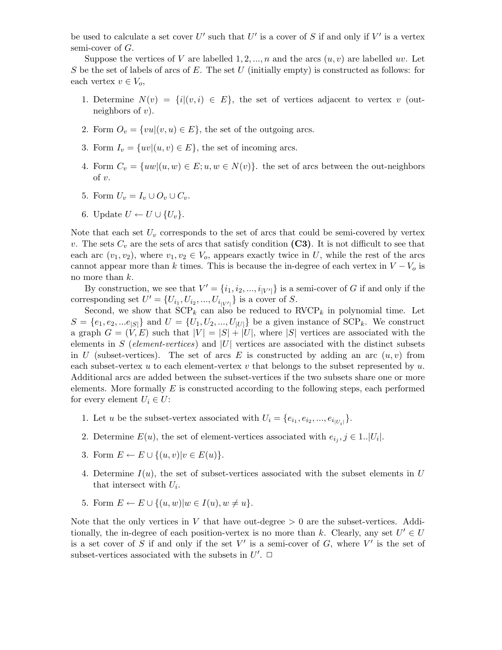be used to calculate a set cover U' such that U' is a cover of S if and only if V' is a vertex semi-cover of G.

Suppose the vertices of V are labelled  $1, 2, ..., n$  and the arcs  $(u, v)$  are labelled uv. Let S be the set of labels of arcs of  $E$ . The set  $U$  (initially empty) is constructed as follows: for each vertex  $v \in V_o$ ,

- 1. Determine  $N(v) = \{i | (v, i) \in E\}$ , the set of vertices adjacent to vertex v (outneighbors of  $v$ ).
- 2. Form  $O_v = \{vu | (v, u) \in E\}$ , the set of the outgoing arcs.
- 3. Form  $I_v = \{uv | (u, v) \in E\}$ , the set of incoming arcs.
- 4. Form  $C_v = \{uw | (u, w) \in E; u, w \in N(v) \}$ . the set of arcs between the out-neighbors of  $v$ .
- 5. Form  $U_v = I_v \cup O_v \cup C_v$ .
- 6. Update  $U \leftarrow U \cup \{U_v\}.$

Note that each set  $U_v$  corresponds to the set of arcs that could be semi-covered by vertex v. The sets  $C_v$  are the sets of arcs that satisfy condition (C3). It is not difficult to see that each arc  $(v_1, v_2)$ , where  $v_1, v_2 \in V_o$ , appears exactly twice in U, while the rest of the arcs cannot appear more than k times. This is because the in-degree of each vertex in  $V - V_0$  is no more than k.

By construction, we see that  $V' = \{i_1, i_2, ..., i_{|V'|}\}\$ is a semi-cover of G if and only if the corresponding set  $U' = \{U_{i_1}, U_{i_2}, ..., U_{i_{|V'|}}\}$  is a cover of S.

Second, we show that  $\text{SCP}_k$  can also be reduced to  $\text{RVCP}_k$  in polynomial time. Let  $S = \{e_1, e_2, \dots e_{|S|}\}\$ and  $U = \{U_1, U_2, \dots, U_{|U|}\}\$ be a given instance of  $\text{SCP}_k$ . We construct a graph  $G = (V, E)$  such that  $|V| = |S| + |U|$ , where  $|S|$  vertices are associated with the elements in S (element-vertices) and  $|U|$  vertices are associated with the distinct subsets in U (subset-vertices). The set of arcs E is constructed by adding an arc  $(u, v)$  from each subset-vertex u to each element-vertex v that belongs to the subset represented by  $u$ . Additional arcs are added between the subset-vertices if the two subsets share one or more elements. More formally  $E$  is constructed according to the following steps, each performed for every element  $U_i \in U$ :

- 1. Let u be the subset-vertex associated with  $U_i = \{e_{i_1}, e_{i_2}, ..., e_{i_{|U_i|}}\}.$
- 2. Determine  $E(u)$ , the set of element-vertices associated with  $e_{i_j}, j \in 1..|U_i|$ .
- 3. Form  $E \leftarrow E \cup \{(u, v)|v \in E(u)\}.$
- 4. Determine  $I(u)$ , the set of subset-vertices associated with the subset elements in U that intersect with  $U_i$ .
- 5. Form  $E \leftarrow E \cup \{(u, w)| w \in I(u), w \neq u\}.$

Note that the only vertices in V that have out-degree  $> 0$  are the subset-vertices. Additionally, the in-degree of each position-vertex is no more than k. Clearly, any set  $U' \in U$ is a set cover of S if and only if the set  $V'$  is a semi-cover of G, where  $V'$  is the set of subset-vertices associated with the subsets in  $U'$ .  $\Box$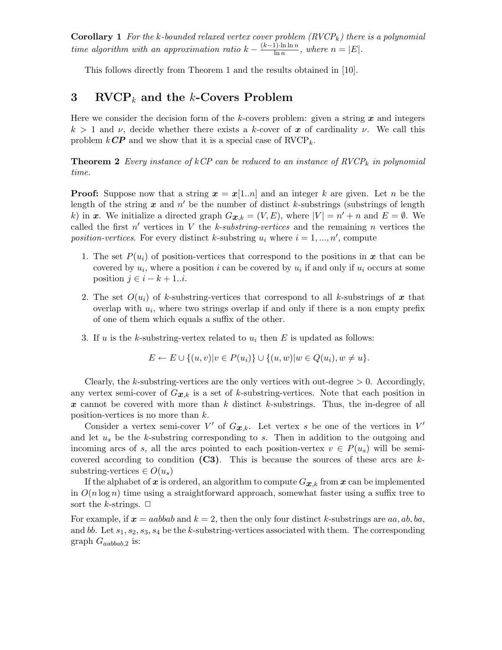**Corollary 1** For the k-bounded relaxed vertex cover problem  $(RVCP_k)$  there is a polynomial time algorithm with an approximation ratio  $k - \frac{(k-1) \cdot \ln \ln n}{\ln n}$  $\frac{\ln \ln n}{\ln n}$ , where  $n = |E|$ .

This follows directly from Theorem 1 and the results obtained in [10].

## 3 RVCP<sub>k</sub> and the k-Covers Problem

Here we consider the decision form of the k-covers problem: given a string  $x$  and integers  $k > 1$  and  $\nu$ , decide whether there exists a k-cover of x of cardinality  $\nu$ . We call this problem  $k\mathbb{CP}$  and we show that it is a special case of  $\text{RVCP}_k$ .

**Theorem 2** Every instance of kCP can be reduced to an instance of  $\text{RVCP}_k$  in polynomial time.

**Proof:** Suppose now that a string  $x = x[1..n]$  and an integer k are given. Let n be the length of the string  $x$  and  $n'$  be the number of distinct k-substrings (substrings of length k) in x. We initialize a directed graph  $G_{\mathbf{x},k} = (V, E)$ , where  $|V| = n' + n$  and  $E = \emptyset$ . We called the first  $n'$  vertices in V the k-substring-vertices and the remaining n vertices the position-vertices. For every distinct k-substring  $u_i$  where  $i = 1, ..., n'$ , compute

- 1. The set  $P(u_i)$  of position-vertices that correspond to the positions in x that can be covered by  $u_i$ , where a position i can be covered by  $u_i$  if and only if  $u_i$  occurs at some position  $j \in i - k + 1 \dots i$ .
- 2. The set  $O(u_i)$  of k-substring-vertices that correspond to all k-substrings of x that overlap with  $u_i$ , where two strings overlap if and only if there is a non empty prefix of one of them which equals a suffix of the other.
- 3. If u is the k-substring-vertex related to  $u_i$  then E is updated as follows:

$$
E \leftarrow E \cup \{(u, v)|v \in P(u_i)\} \cup \{(u, w)|w \in Q(u_i), w \neq u\}.
$$

Clearly, the k-substring-vertices are the only vertices with out-degree  $> 0$ . Accordingly, any vertex semi-cover of  $G_{\mathbf{x},k}$  is a set of k-substring-vertices. Note that each position in x cannot be covered with more than  $k$  distinct  $k$ -substrings. Thus, the in-degree of all position-vertices is no more than k.

Consider a vertex semi-cover V' of  $G_{x,k}$ . Let vertex s be one of the vertices in V' and let  $u_s$  be the k-substring corresponding to s. Then in addition to the outgoing and incoming arcs of s, all the arcs pointed to each position-vertex  $v \in P(u_s)$  will be semicovered according to condition  $(C3)$ . This is because the sources of these arcs are ksubstring-vertices  $\in O(u_s)$ 

If the alphabet of x is ordered, an algorithm to compute  $G_{x,k}$  from x can be implemented in  $O(n \log n)$  time using a straightforward approach, somewhat faster using a suffix tree to sort the k-strings.  $\Box$ 

For example, if  $x = aabbab$  and  $k = 2$ , then the only four distinct k-substrings are  $aa, ab, ba$ , and bb. Let  $s_1, s_2, s_3, s_4$  be the k-substring-vertices associated with them. The corresponding graph  $G_{aabbab,2}$  is: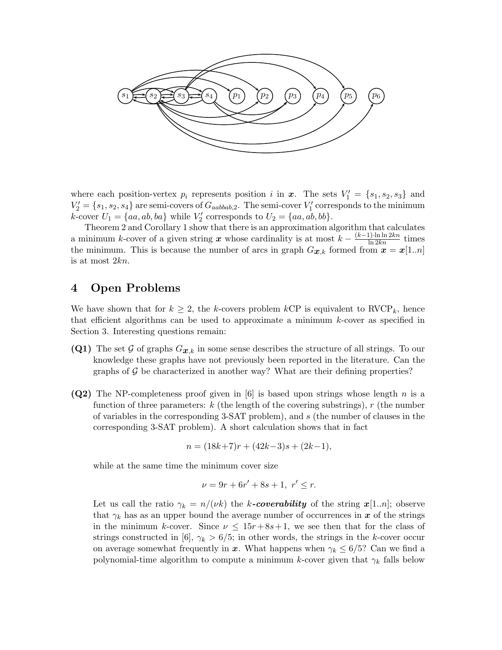

where each position-vertex  $p_i$  represents position i in  $\boldsymbol{x}$ . The sets  $V'_1 = \{s_1, s_2, s_3\}$  and  $V_2' = \{s_1, s_2, s_4\}$  are semi-covers of  $G_{aabbab,2}$ . The semi-cover  $V_1'$  corresponds to the minimum k-cover  $U_1 = \{aa, ab, ba\}$  while  $V_2'$  corresponds to  $U_2 = \{aa, ab, bb\}$ .

Theorem 2 and Corollary 1 show that there is an approximation algorithm that calculates a minimum k-cover of a given string x whose cardinality is at most  $k - \frac{(k-1) \cdot \ln \ln 2kn}{\ln 2kn}$  times the minimum. This is because the number of arcs in graph  $G_{\mathbf{x},k}$  formed from  $\mathbf{x} = \mathbf{x}[1..n]$ is at most 2kn.

## 4 Open Problems

We have shown that for  $k \geq 2$ , the k-covers problem kCP is equivalent to RVCP<sub>k</sub>, hence that efficient algorithms can be used to approximate a minimum k-cover as specified in Section 3. Interesting questions remain:

- (Q1) The set G of graphs  $G_{\mathbf{x},k}$  in some sense describes the structure of all strings. To our knowledge these graphs have not previously been reported in the literature. Can the graphs of  $\mathcal G$  be characterized in another way? What are their defining properties?
- (Q2) The NP-completeness proof given in [6] is based upon strings whose length n is a function of three parameters:  $k$  (the length of the covering substrings),  $r$  (the number of variables in the corresponding 3-SAT problem), and s (the number of clauses in the corresponding 3-SAT problem). A short calculation shows that in fact

$$
n = (18k + 7)r + (42k - 3)s + (2k - 1),
$$

while at the same time the minimum cover size

$$
\nu = 9r + 6r' + 8s + 1, \ r' \le r.
$$

Let us call the ratio  $\gamma_k = n/(\nu k)$  the k-coverability of the string  $x[1..n]$ ; observe that  $\gamma_k$  has as an upper bound the average number of occurrences in x of the strings in the minimum k-cover. Since  $\nu \leq 15r+8s+1$ , we see then that for the class of strings constructed in [6],  $\gamma_k > 6/5$ ; in other words, the strings in the k-cover occur on average somewhat frequently in x. What happens when  $\gamma_k \leq 6/5$ ? Can we find a polynomial-time algorithm to compute a minimum k-cover given that  $\gamma_k$  falls below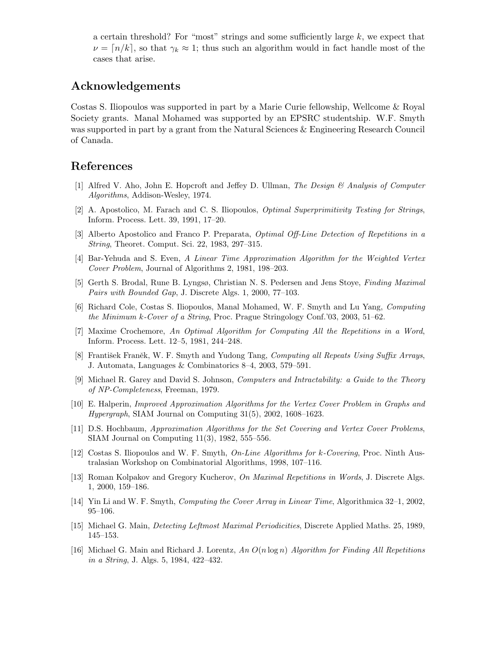a certain threshold? For "most" strings and some sufficiently large  $k$ , we expect that  $\nu = [n/k]$ , so that  $\gamma_k \approx 1$ ; thus such an algorithm would in fact handle most of the cases that arise.

## Acknowledgements

Costas S. Iliopoulos was supported in part by a Marie Curie fellowship, Wellcome & Royal Society grants. Manal Mohamed was supported by an EPSRC studentship. W.F. Smyth was supported in part by a grant from the Natural Sciences & Engineering Research Council of Canada.

## References

- [1] Alfred V. Aho, John E. Hopcroft and Jeffey D. Ullman, The Design & Analysis of Computer Algorithms, Addison-Wesley, 1974.
- [2] A. Apostolico, M. Farach and C. S. Iliopoulos, Optimal Superprimitivity Testing for Strings, Inform. Process. Lett. 39, 1991, 17–20.
- [3] Alberto Apostolico and Franco P. Preparata, Optimal Off-Line Detection of Repetitions in a String, Theoret. Comput. Sci. 22, 1983, 297–315.
- [4] Bar-Yehuda and S. Even, A Linear Time Approximation Algorithm for the Weighted Vertex Cover Problem, Journal of Algorithms 2, 1981, 198–203.
- [5] Gerth S. Brodal, Rune B. Lyngsø, Christian N. S. Pedersen and Jens Stoye, Finding Maximal Pairs with Bounded Gap, J. Discrete Algs. 1, 2000, 77–103.
- [6] Richard Cole, Costas S. Iliopoulos, Manal Mohamed, W. F. Smyth and Lu Yang, Computing the Minimum k-Cover of a String, Proc. Prague Stringology Conf.'03, 2003, 51–62.
- [7] Maxime Crochemore, An Optimal Algorithm for Computing All the Repetitions in a Word, Inform. Process. Lett. 12–5, 1981, 244–248.
- [8] František Franěk, W. F. Smyth and Yudong Tang, Computing all Repeats Using Suffix Arrays, J. Automata, Languages & Combinatorics 8–4, 2003, 579–591.
- [9] Michael R. Garey and David S. Johnson, Computers and Intractability: a Guide to the Theory of NP-Completeness, Freeman, 1979.
- [10] E. Halperin, Improved Approximation Algorithms for the Vertex Cover Problem in Graphs and Hypergraph, SIAM Journal on Computing 31(5), 2002, 1608–1623.
- [11] D.S. Hochbaum, Approximation Algorithms for the Set Covering and Vertex Cover Problems, SIAM Journal on Computing 11(3), 1982, 555–556.
- [12] Costas S. Iliopoulos and W. F. Smyth, On-Line Algorithms for k-Covering, Proc. Ninth Australasian Workshop on Combinatorial Algorithms, 1998, 107–116.
- [13] Roman Kolpakov and Gregory Kucherov, On Maximal Repetitions in Words, J. Discrete Algs. 1, 2000, 159–186.
- [14] Yin Li and W. F. Smyth, Computing the Cover Array in Linear Time, Algorithmica 32–1, 2002, 95–106.
- [15] Michael G. Main, Detecting Leftmost Maximal Periodicities, Discrete Applied Maths. 25, 1989, 145–153.
- [16] Michael G. Main and Richard J. Lorentz, An  $O(n \log n)$  Algorithm for Finding All Repetitions in a String, J. Algs. 5, 1984, 422–432.